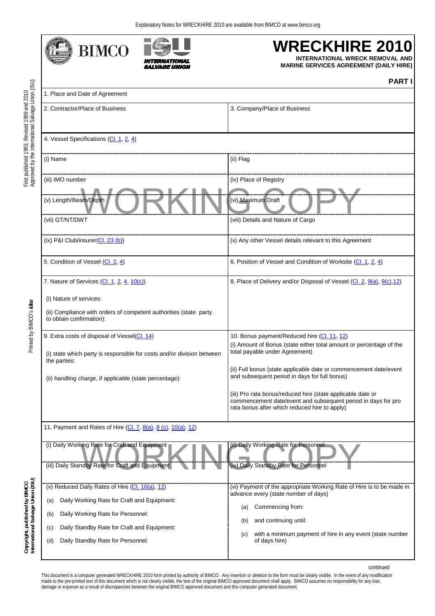Explanatory Notes for WRECKHIRE 2010 are available from BIMCO at www.bimco.org

3. Company/Place of Business

RKING CRY

(ix) P&I Club/insurer(Cl. 23 (b)) (ix) Any other Vessel details relevant to this Agreement

(v) Length/Beam/Depth (vi) Maximum Draft

(ii) Flag

(iv) Place of Registry

(viii) Details and Nature of Cargo

6. Position of Vessel and Condition of Worksite (Cl. 1, 2, 4)

8. Place of Delivery and/or Disposal of Vessel (Cl. 2, 9(a), 9(c), 12)



1. Place and Date of Agreement 2. Contractor/Place of Business

4. Vessel Specifications (Cl. 1, 2, 4)

### **WRECKHIRE 2010**

**INTERNATIONAL WRECK REMOVAL AND MARINE SERVICES AGREEMENT (DAILY HIRE)**

**PART I**

| $\vdots$<br>$\overline{a}$<br>,<br>,<br>,<br>,<br>ة مستحدة<br>i<br>ì<br>$\frac{1}{2}$<br>j | 3<br><b>!</b><br>$\overline{a}$<br>j<br>$\frac{1}{2}$<br>$-1$ $ -1$<br>Ĺ<br>ë<br>i<br>2<br>Ł |
|--------------------------------------------------------------------------------------------|----------------------------------------------------------------------------------------------|
|                                                                                            | 3<br>j<br>المملسات ا                                                                         |
|                                                                                            |                                                                                              |

(i) Name

(iii) IMO number

(vii) GT/NT/DWT

5. Condition of Vessel (Cl. 2, 4)

(i) Nature of services:

7. Nature of Services (Cl. 1, 2, 4, 10(c))

| Printed by BIMCO's ide                                             | (ii) Compliance with orders of competent authorities (state party<br>to obtain confirmation):                                                                                                     |                                                                                                                                                                                                                                                                                                                                           |
|--------------------------------------------------------------------|---------------------------------------------------------------------------------------------------------------------------------------------------------------------------------------------------|-------------------------------------------------------------------------------------------------------------------------------------------------------------------------------------------------------------------------------------------------------------------------------------------------------------------------------------------|
|                                                                    | 9. Extra costs of disposal of Vessel(Cl. 14)<br>(i) state which party is responsible for costs and/or division between<br>the parties:<br>(ii) handling charge, if applicable (state percentage): | 10. Bonus payment/Reduced hire (Cl. 11, 12)<br>(i) Amount of Bonus (state either total amount or percentage of the<br>total payable under Agreement)<br>(ii) Full bonus (state applicable date or commencement date/event<br>and subsequent period in days for full bonus)<br>(iii) Pro rata bonus/reduced hire (state applicable date or |
|                                                                    | 11. Payment and Rates of Hire (Cl. 7, 8(a), 8 (c), 10(a), 12)<br>(i) Daily Working Rate for Craft and Equipment                                                                                   | commencement date/event and subsequent period in days for pro<br>rata bonus after which reduced hire to apply)<br>(ii) Daily Working Rate for Personnel                                                                                                                                                                                   |
|                                                                    | (iii) Daily Standby Rate for Craft and Equipment<br>(v) Reduced Daily Rates of Hire (Cl. 10(a), 12)<br>Daily Working Rate for Craft and Equipment:<br>(a)                                         | (iv) Daily Standby Rate for Personnel<br>(vi) Payment of the appropriate Working Rate of Hire is to be made in<br>advance every (state number of days)<br>Commencing from:<br>(a)                                                                                                                                                         |
| Copyright, published by BIMCO<br>International Salvage Union (ISU) | Daily Working Rate for Personnel:<br>(b)<br>Daily Standby Rate for Craft and Equipment:<br>(c)<br>Daily Standby Rate for Personnel:<br>(d)                                                        | and continuing until:<br>(b)<br>with a minimum payment of hire in any event (state number<br>(c)<br>of days hire)                                                                                                                                                                                                                         |

continued and the continued of the continued of the continued of the continued of the continued of the continued of the continued of the continued of the continued of the continued of the continued of the continued of the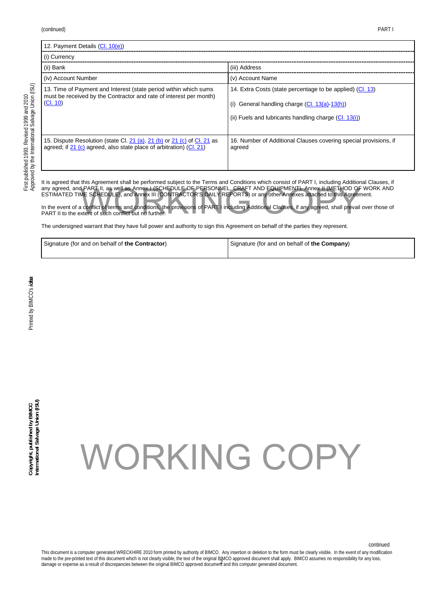| 12. Payment Details (Cl. 10(e))                                                                                                                    |                                                                                                                                                                         |  |  |
|----------------------------------------------------------------------------------------------------------------------------------------------------|-------------------------------------------------------------------------------------------------------------------------------------------------------------------------|--|--|
| (i) Currency                                                                                                                                       |                                                                                                                                                                         |  |  |
| (ii) Bank                                                                                                                                          | (iii) Address                                                                                                                                                           |  |  |
| (iv) Account Number                                                                                                                                | (v) Account Name                                                                                                                                                        |  |  |
| 13. Time of Payment and Interest (state period within which sums<br>must be received by the Contractor and rate of interest per month)<br>(CI. 10) | 14. Extra Costs (state percentage to be applied) (Cl. 13)<br>(i) General handling charge $(Cl. 13(a) 13(h))$<br>(ii) Fuels and lubricants handling charge $(Cl. 13(i))$ |  |  |
| 15. Dispute Resolution (state Cl. 21 (a), 21 (b) or 21 (c) of Cl. 21 as<br>agreed; if 21 (c) agreed, also state place of arbitration) (Cl. 21)     | 16. Number of Additional Clauses covering special provisions, if<br>agreed                                                                                              |  |  |

It is agreed that this Agreement shall be performed subject to the Terms and Conditions which consist of PART I, including Additional Clauses, if<br>any agreed, and PART II, as well as Annex II (CONTRACTOR'S DAILY REPORTS) or any agreed, and PART II, as well as Annex I (SCHEDULE OF PERSONNEL, CRAFT AND EQUIPMENT), Annex II (METHOD OF WORK AND ESTIMATED TIME SCHEDULE), and Annex III (CONTRACTOR'S DAILY REPORTS) or any other Annexes attached to this Agreement.

In the event of a conflict of terms and conditions, the provisions of PART I including Additional Clauses, if any agreed, shall prevail over those of PART II to the extent of such conflict but no further.

The undersigned warrant that they have full power and authority to sign this Agreement on behalf of the parties they represent.

| Signature (for and on behalf of the Contractor) | Signature (for and on behalf of the Company) |
|-------------------------------------------------|----------------------------------------------|
|                                                 |                                              |

# WORKING COPY

continued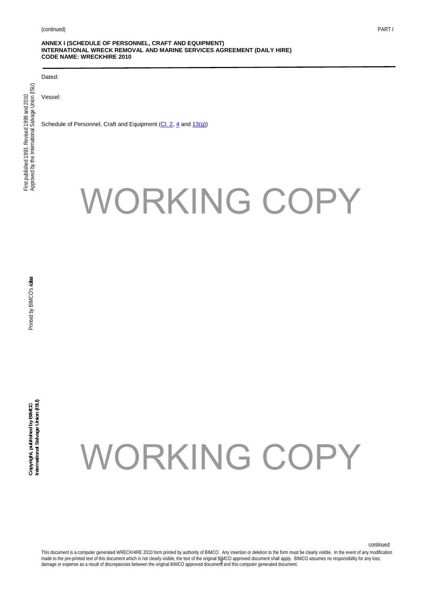#### **ANNEX I (SCHEDULE OF PERSONNEL, CRAFT AND EQUIPMENT) INTERNATIONAL WRECK REMOVAL AND MARINE SERVICES AGREEMENT (DAILY HIRE) CODE NAME: WRECKHIRE 2010**

Dated:

Vessel:

Schedule of Personnel, Craft and Equipment (Cl. 2, 4 and 13(g))

WORKING COPY

## WORKING COPY

continued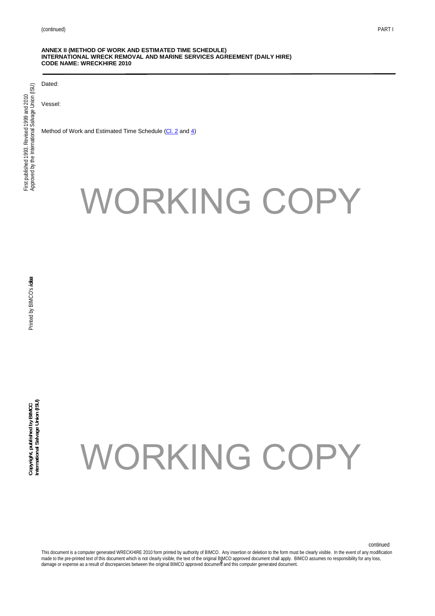### **ANNEX II (METHOD OF WORK AND ESTIMATED TIME SCHEDULE) INTERNATIONAL WRECK REMOVAL AND MARINE SERVICES AGREEMENT (DAILY HIRE) CODE NAME: WRECKHIRE 2010**

Dated:

Vessel:

Method of Work and Estimated Time Schedule (Cl. 2 and 4)

WORKING COPY

## WORKING COPY

continued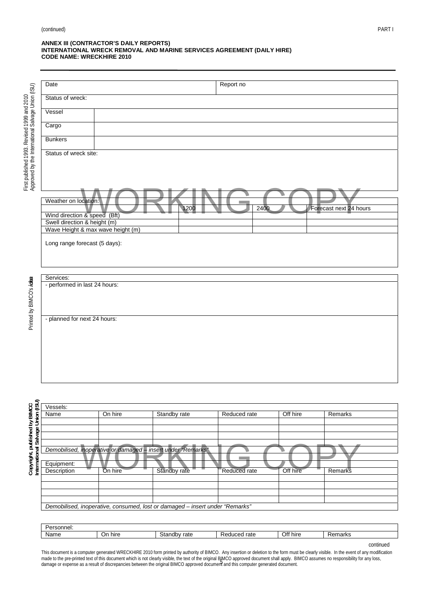#### (continued) PART I

#### **ANNEX III (CONTRACTOR'S DAILY REPORTS) INTERNATIONAL WRECK REMOVAL AND MARINE SERVICES AGREEMENT (DAILY HIRE) CODE NAME: WRECKHIRE 2010**

|                                                                                                  | Date                              |      | Report no |      |                        |  |
|--------------------------------------------------------------------------------------------------|-----------------------------------|------|-----------|------|------------------------|--|
|                                                                                                  | Status of wreck:                  |      |           |      |                        |  |
|                                                                                                  | Vessel                            |      |           |      |                        |  |
|                                                                                                  | Cargo                             |      |           |      |                        |  |
|                                                                                                  | <b>Bunkers</b>                    |      |           |      |                        |  |
| First published 1993. Revised 1999 and 2010<br>Approved by the International Salvage Union (ISU) | Status of wreck site:             |      |           |      |                        |  |
|                                                                                                  |                                   |      |           |      |                        |  |
|                                                                                                  | Weather on location:              |      |           |      |                        |  |
|                                                                                                  | Wind direction & speed (Bft)      | 1200 |           | 2400 | Forecast next 24 hours |  |
|                                                                                                  | Swell direction & height (m)      |      |           |      |                        |  |
|                                                                                                  | Wave Height & max wave height (m) |      |           |      |                        |  |
|                                                                                                  | Long range forecast (5 days):     |      |           |      |                        |  |
|                                                                                                  |                                   |      |           |      |                        |  |
|                                                                                                  | Services:                         |      |           |      |                        |  |
| Printed by BIMCO's idea                                                                          | - performed in last 24 hours:     |      |           |      |                        |  |
|                                                                                                  | - planned for next 24 hours:      |      |           |      |                        |  |

|                                                                    | Vessels:    |         |                                                                              |              |          |         |
|--------------------------------------------------------------------|-------------|---------|------------------------------------------------------------------------------|--------------|----------|---------|
|                                                                    | Name        | On hire | Standby rate                                                                 | Reduced rate | Off hire | Remarks |
|                                                                    |             |         |                                                                              |              |          |         |
|                                                                    |             |         |                                                                              |              |          |         |
|                                                                    |             |         |                                                                              |              |          |         |
|                                                                    |             |         |                                                                              |              |          |         |
|                                                                    |             |         | Demobilised, inoperative or damaged - insert under "Remarks"                 |              |          |         |
|                                                                    |             |         |                                                                              |              |          |         |
|                                                                    | Equipment:  |         |                                                                              |              |          |         |
| Copyright, published by BIMCO<br>International Salvage Union (ISU) | Description | On hire | Standby rate                                                                 | Reduced rate | Off hire | Remarks |
|                                                                    |             |         |                                                                              |              |          |         |
|                                                                    |             |         |                                                                              |              |          |         |
|                                                                    |             |         |                                                                              |              |          |         |
|                                                                    |             |         |                                                                              |              |          |         |
|                                                                    |             |         | Demobilised, inoperative, consumed, lost or damaged - insert under "Remarks" |              |          |         |
|                                                                    |             |         |                                                                              |              |          |         |
|                                                                    |             |         |                                                                              |              |          |         |
|                                                                    | Personnel:  |         |                                                                              |              |          |         |
|                                                                    | Name        | On hire | Standby rate                                                                 | Reduced rate | Off hire | Remarks |

This document is a computer generated WRECKHIRE 2010 form printed by authority of BIMCO. Any insertion or deletion to the form must be clearly visible. In the event of any modification made to the pre-printed text of this document which is not clearly visible, the text of the original BIMCO approved document shall apply. BIMCO assumes no responsibility for any loss,<br>damage or expense as a result of discr

continued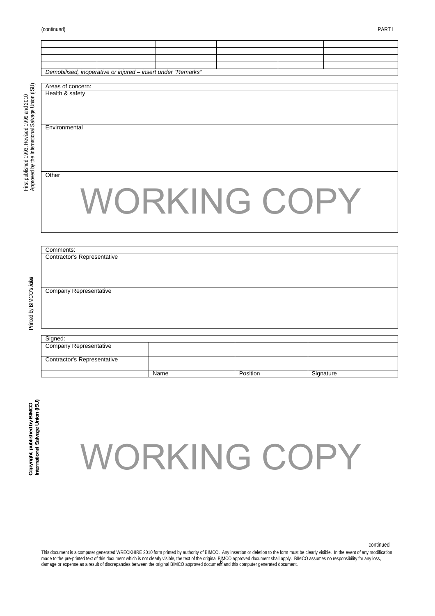### (continued) PART I

Areas of concern: Health & safety

**Environmental** 

**Other** 

| Demobilised, inoperative or injured - insert under "Remarks" |  |  |  |  |  |
|--------------------------------------------------------------|--|--|--|--|--|

# WORKING COP'

| п |
|---|
| ۰ |
|   |
|   |

| Comments:                     |  |
|-------------------------------|--|
| Contractor's Representative   |  |
|                               |  |
|                               |  |
|                               |  |
| <b>Company Representative</b> |  |
|                               |  |
|                               |  |
|                               |  |
|                               |  |

| Signed:                            |      |          |           |  |  |  |
|------------------------------------|------|----------|-----------|--|--|--|
| Company Representative             |      |          |           |  |  |  |
|                                    |      |          |           |  |  |  |
| <b>Contractor's Representative</b> |      |          |           |  |  |  |
|                                    |      |          |           |  |  |  |
|                                    | Name | Position | Signature |  |  |  |

## WORKING COPY

continued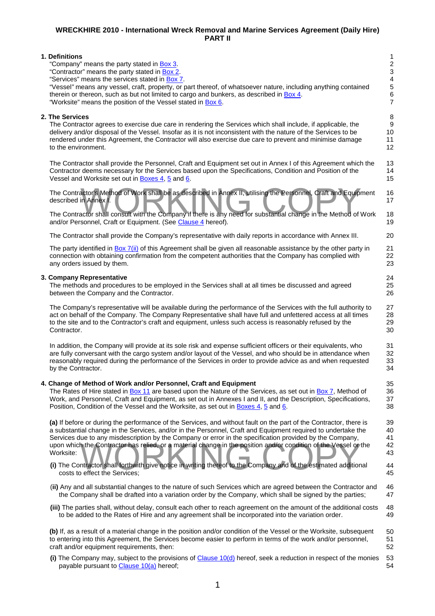| 1. Definitions<br>"Company" means the party stated in Box 3.<br>"Contractor" means the party stated in Box 2.<br>"Services" means the services stated in Box 7.<br>"Vessel" means any vessel, craft, property, or part thereof, of whatsoever nature, including anything contained<br>therein or thereon, such as but not limited to cargo and bunkers, as described in Box 4.<br>"Worksite" means the position of the Vessel stated in Box 6.                                  | 1<br>$\overline{\mathbf{c}}$<br>3<br>$\overline{\mathbf{4}}$<br>5<br>$\boldsymbol{6}$<br>$\overline{7}$ |
|---------------------------------------------------------------------------------------------------------------------------------------------------------------------------------------------------------------------------------------------------------------------------------------------------------------------------------------------------------------------------------------------------------------------------------------------------------------------------------|---------------------------------------------------------------------------------------------------------|
| 2. The Services<br>The Contractor agrees to exercise due care in rendering the Services which shall include, if applicable, the<br>delivery and/or disposal of the Vessel. Insofar as it is not inconsistent with the nature of the Services to be<br>rendered under this Agreement, the Contractor will also exercise due care to prevent and minimise damage<br>to the environment.                                                                                           | 8<br>9<br>10<br>11<br>12                                                                                |
| The Contractor shall provide the Personnel, Craft and Equipment set out in Annex I of this Agreement which the<br>Contractor deems necessary for the Services based upon the Specifications, Condition and Position of the<br>Vessel and Worksite set out in Boxes 4, 5 and 6.                                                                                                                                                                                                  | 13<br>14<br>15                                                                                          |
| The Contractor's Method of Work shall be as described in Annex II, utilising the Personnel, Craft and Equipment<br>described in Annex I.<br>The Contractor shall consult with the Company if there is any need for substantial change in the Method of Work<br>and/or Personnel, Craft or Equipment. (See Clause 4 hereof).                                                                                                                                                     | 16<br>17<br>18<br>19                                                                                    |
| The Contractor shall provide the Company's representative with daily reports in accordance with Annex III.                                                                                                                                                                                                                                                                                                                                                                      | 20                                                                                                      |
| The party identified in Box 7(ii) of this Agreement shall be given all reasonable assistance by the other party in<br>connection with obtaining confirmation from the competent authorities that the Company has complied with<br>any orders issued by them.                                                                                                                                                                                                                    | 21<br>22<br>23                                                                                          |
| 3. Company Representative<br>The methods and procedures to be employed in the Services shall at all times be discussed and agreed<br>between the Company and the Contractor.                                                                                                                                                                                                                                                                                                    | 24<br>25<br>26                                                                                          |
| The Company's representative will be available during the performance of the Services with the full authority to<br>act on behalf of the Company. The Company Representative shall have full and unfettered access at all times<br>to the site and to the Contractor's craft and equipment, unless such access is reasonably refused by the<br>Contractor.                                                                                                                      | 27<br>28<br>29<br>30                                                                                    |
| In addition, the Company will provide at its sole risk and expense sufficient officers or their equivalents, who<br>are fully conversant with the cargo system and/or layout of the Vessel, and who should be in attendance when<br>reasonably required during the performance of the Services in order to provide advice as and when requested<br>by the Contractor.                                                                                                           | 31<br>32<br>33<br>34                                                                                    |
| 4. Change of Method of Work and/or Personnel, Craft and Equipment<br>The Rates of Hire stated in Box 11 are based upon the Nature of the Services, as set out in Box 7, Method of<br>Work, and Personnel, Craft and Equipment, as set out in Annexes I and II, and the Description, Specifications,<br>Position, Condition of the Vessel and the Worksite, as set out in <b>Boxes 4, 5 and 6.</b>                                                                               | 35<br>36<br>37<br>38                                                                                    |
| (a) If before or during the performance of the Services, and without fault on the part of the Contractor, there is<br>a substantial change in the Services, and/or in the Personnel, Craft and Equipment required to undertake the<br>Services due to any misdescription by the Company or error in the specification provided by the Company,<br>upon which the Contractor has relied, or a material change in the position and/or condition of the Vessel or the<br>Worksite: | 39<br>40<br>41<br>42<br>43                                                                              |
| (i) The Contractor shall forthwith give notice in writing thereof to the Company and of the estimated additional<br>costs to effect the Services;                                                                                                                                                                                                                                                                                                                               | 44<br>45                                                                                                |
| (ii) Any and all substantial changes to the nature of such Services which are agreed between the Contractor and<br>the Company shall be drafted into a variation order by the Company, which shall be signed by the parties;                                                                                                                                                                                                                                                    | 46<br>47                                                                                                |
| (iii) The parties shall, without delay, consult each other to reach agreement on the amount of the additional costs<br>to be added to the Rates of Hire and any agreement shall be incorporated into the variation order.                                                                                                                                                                                                                                                       | 48<br>49                                                                                                |
| (b) If, as a result of a material change in the position and/or condition of the Vessel or the Worksite, subsequent<br>to entering into this Agreement, the Services become easier to perform in terms of the work and/or personnel,<br>craft and/or equipment requirements, then:                                                                                                                                                                                              | 50<br>51<br>52                                                                                          |
| (i) The Company may, subject to the provisions of Clause 10(d) hereof, seek a reduction in respect of the monies<br>payable pursuant to Clause 10(a) hereof;                                                                                                                                                                                                                                                                                                                    | 53<br>54                                                                                                |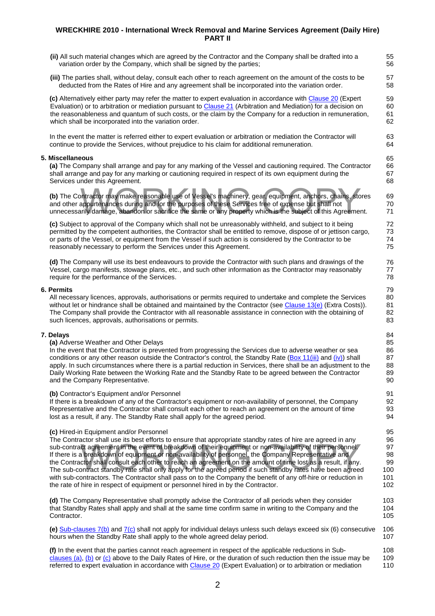| (ii) All such material changes which are agreed by the Contractor and the Company shall be drafted into a<br>variation order by the Company, which shall be signed by the parties;                                                                                                                                                                                                                                                                                                                                                                                                                                                                                                                                                                                                                                    | 55<br>56                                        |
|-----------------------------------------------------------------------------------------------------------------------------------------------------------------------------------------------------------------------------------------------------------------------------------------------------------------------------------------------------------------------------------------------------------------------------------------------------------------------------------------------------------------------------------------------------------------------------------------------------------------------------------------------------------------------------------------------------------------------------------------------------------------------------------------------------------------------|-------------------------------------------------|
| (iii) The parties shall, without delay, consult each other to reach agreement on the amount of the costs to be<br>deducted from the Rates of Hire and any agreement shall be incorporated into the variation order.                                                                                                                                                                                                                                                                                                                                                                                                                                                                                                                                                                                                   | 57<br>58                                        |
| (c) Alternatively either party may refer the matter to expert evaluation in accordance with Clause 20 (Expert<br>Evaluation) or to arbitration or mediation pursuant to Clause 21 (Arbitration and Mediation) for a decision on<br>the reasonableness and quantum of such costs, or the claim by the Company for a reduction in remuneration,<br>which shall be incorporated into the variation order.                                                                                                                                                                                                                                                                                                                                                                                                                | 59<br>60<br>61<br>62                            |
| In the event the matter is referred either to expert evaluation or arbitration or mediation the Contractor will<br>continue to provide the Services, without prejudice to his claim for additional remuneration.                                                                                                                                                                                                                                                                                                                                                                                                                                                                                                                                                                                                      | 63<br>64                                        |
| 5. Miscellaneous<br>(a) The Company shall arrange and pay for any marking of the Vessel and cautioning required. The Contractor<br>shall arrange and pay for any marking or cautioning required in respect of its own equipment during the<br>Services under this Agreement.                                                                                                                                                                                                                                                                                                                                                                                                                                                                                                                                          | 65<br>66<br>67<br>68                            |
| (b) The Contractor may make reasonable use of Vessel's machinery, gear, equipment, anchors, chains, stores<br>and other appurtenances during and for the purposes of these Services free of expense but shall not<br>unnecessarily damage, abandon or sacrifice the same or any property which is the subject of this Agreement.                                                                                                                                                                                                                                                                                                                                                                                                                                                                                      | 69<br>70<br>71                                  |
| (c) Subject to approval of the Company which shall not be unreasonably withheld, and subject to it being<br>permitted by the competent authorities, the Contractor shall be entitled to remove, dispose of or jettison cargo,<br>or parts of the Vessel, or equipment from the Vessel if such action is considered by the Contractor to be<br>reasonably necessary to perform the Services under this Agreement.                                                                                                                                                                                                                                                                                                                                                                                                      | 72<br>73<br>74<br>75                            |
| (d) The Company will use its best endeavours to provide the Contractor with such plans and drawings of the<br>Vessel, cargo manifests, stowage plans, etc., and such other information as the Contractor may reasonably<br>require for the performance of the Services.                                                                                                                                                                                                                                                                                                                                                                                                                                                                                                                                               | 76<br>77<br>78                                  |
| 6. Permits<br>All necessary licences, approvals, authorisations or permits required to undertake and complete the Services<br>without let or hindrance shall be obtained and maintained by the Contractor (see Clause $13(e)$ (Extra Costs)).<br>The Company shall provide the Contractor with all reasonable assistance in connection with the obtaining of<br>such licences, approvals, authorisations or permits.                                                                                                                                                                                                                                                                                                                                                                                                  | 79<br>80<br>81<br>82<br>83                      |
| 7. Delays<br>(a) Adverse Weather and Other Delays<br>In the event that the Contractor is prevented from progressing the Services due to adverse weather or sea<br>conditions or any other reason outside the Contractor's control, the Standby Rate (Box 11(iii) and (iv)) shall<br>apply. In such circumstances where there is a partial reduction in Services, there shall be an adjustment to the<br>Daily Working Rate between the Working Rate and the Standby Rate to be agreed between the Contractor<br>and the Company Representative.                                                                                                                                                                                                                                                                       | 84<br>85<br>86<br>87<br>88<br>89<br>90          |
| (b) Contractor's Equipment and/or Personnel<br>If there is a breakdown of any of the Contractor's equipment or non-availability of personnel, the Company<br>Representative and the Contractor shall consult each other to reach an agreement on the amount of time<br>lost as a result, if any. The Standby Rate shall apply for the agreed period.                                                                                                                                                                                                                                                                                                                                                                                                                                                                  | 91<br>92<br>93<br>94                            |
| (c) Hired-in Equipment and/or Personnel<br>The Contractor shall use its best efforts to ensure that appropriate standby rates of hire are agreed in any<br>sub-contract agreement in the event of breakdown of their equipment or non-availability of their personnel.<br>If there is a breakdown of equipment or non-availability of personnel, the Company Representative and<br>the Contractor shall consult each other to reach an agreement on the amount of time lost as a result, if any.<br>The sub-contract standby rate shall only apply for the agreed period if such standby rates have been agreed<br>with sub-contractors. The Contractor shall pass on to the Company the benefit of any off-hire or reduction in<br>the rate of hire in respect of equipment or personnel hired in by the Contractor. | 95<br>96<br>97<br>98<br>99<br>100<br>101<br>102 |
| (d) The Company Representative shall promptly advise the Contractor of all periods when they consider<br>that Standby Rates shall apply and shall at the same time confirm same in writing to the Company and the<br>Contractor.                                                                                                                                                                                                                                                                                                                                                                                                                                                                                                                                                                                      | 103<br>104<br>105                               |
| (e) Sub-clauses 7(b) and 7(c) shall not apply for individual delays unless such delays exceed six (6) consecutive<br>hours when the Standby Rate shall apply to the whole agreed delay period.                                                                                                                                                                                                                                                                                                                                                                                                                                                                                                                                                                                                                        | 106<br>107                                      |
| (f) In the event that the parties cannot reach agreement in respect of the applicable reductions in Sub-<br>clauses (a), (b) or (c) above to the Daily Rates of Hire, or the duration of such reduction then the issue may be<br>referred to expert evaluation in accordance with Clause 20 (Expert Evaluation) or to arbitration or mediation                                                                                                                                                                                                                                                                                                                                                                                                                                                                        | 108<br>109<br>110                               |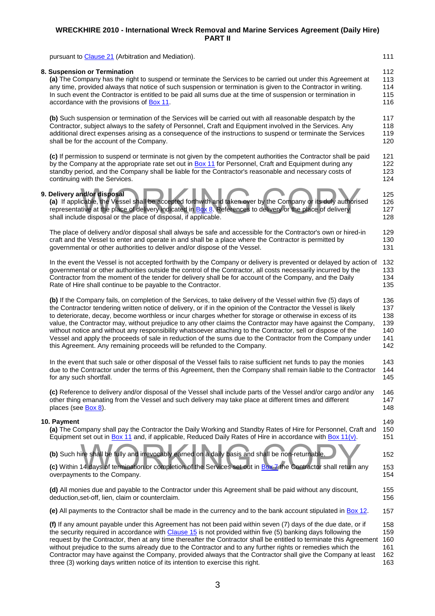| pursuant to Clause 21 (Arbitration and Mediation).                                                                                                                                                                                                                                                                                                                                                                                                                                                                                                                                                                                                                                                                                                                           | 111                                           |
|------------------------------------------------------------------------------------------------------------------------------------------------------------------------------------------------------------------------------------------------------------------------------------------------------------------------------------------------------------------------------------------------------------------------------------------------------------------------------------------------------------------------------------------------------------------------------------------------------------------------------------------------------------------------------------------------------------------------------------------------------------------------------|-----------------------------------------------|
| 8. Suspension or Termination<br>(a) The Company has the right to suspend or terminate the Services to be carried out under this Agreement at<br>any time, provided always that notice of such suspension or termination is given to the Contractor in writing.<br>In such event the Contractor is entitled to be paid all sums due at the time of suspension or termination in<br>accordance with the provisions of <b>Box 11</b> .                                                                                                                                                                                                                                                                                                                                          | 112<br>113<br>114<br>115<br>116               |
| (b) Such suspension or termination of the Services will be carried out with all reasonable despatch by the<br>Contractor, subject always to the safety of Personnel, Craft and Equipment involved in the Services. Any<br>additional direct expenses arising as a consequence of the instructions to suspend or terminate the Services<br>shall be for the account of the Company.                                                                                                                                                                                                                                                                                                                                                                                           | 117<br>118<br>119<br>120                      |
| (c) If permission to suspend or terminate is not given by the competent authorities the Contractor shall be paid<br>by the Company at the appropriate rate set out in <b>Box 11</b> for Personnel, Craft and Equipment during any<br>standby period, and the Company shall be liable for the Contractor's reasonable and necessary costs of<br>continuing with the Services.                                                                                                                                                                                                                                                                                                                                                                                                 | 121<br>122<br>123<br>124                      |
| 9. Delivery and/or disposal<br>(a) If applicable, the Vessel shall be accepted forthwith and taken over by the Company or its duly authorised<br>representative at the place of delivery indicated in Box 8. References to delivery or the place of delivery<br>shall include disposal or the place of disposal, if applicable.                                                                                                                                                                                                                                                                                                                                                                                                                                              | 125<br>126<br>127<br>128                      |
| The place of delivery and/or disposal shall always be safe and accessible for the Contractor's own or hired-in<br>craft and the Vessel to enter and operate in and shall be a place where the Contractor is permitted by<br>governmental or other authorities to deliver and/or dispose of the Vessel.                                                                                                                                                                                                                                                                                                                                                                                                                                                                       | 129<br>130<br>131                             |
| In the event the Vessel is not accepted forthwith by the Company or delivery is prevented or delayed by action of<br>governmental or other authorities outside the control of the Contractor, all costs necessarily incurred by the<br>Contractor from the moment of the tender for delivery shall be for account of the Company, and the Daily<br>Rate of Hire shall continue to be payable to the Contractor.                                                                                                                                                                                                                                                                                                                                                              | 132<br>133<br>134<br>135                      |
| (b) If the Company fails, on completion of the Services, to take delivery of the Vessel within five (5) days of<br>the Contractor tendering written notice of delivery, or if in the opinion of the Contractor the Vessel is likely<br>to deteriorate, decay, become worthless or incur charges whether for storage or otherwise in excess of its<br>value, the Contractor may, without prejudice to any other claims the Contractor may have against the Company,<br>without notice and without any responsibility whatsoever attaching to the Contractor, sell or dispose of the<br>Vessel and apply the proceeds of sale in reduction of the sums due to the Contractor from the Company under<br>this Agreement. Any remaining proceeds will be refunded to the Company. | 136<br>137<br>138<br>139<br>140<br>141<br>142 |
| In the event that such sale or other disposal of the Vessel fails to raise sufficient net funds to pay the monies<br>due to the Contractor under the terms of this Agreement, then the Company shall remain liable to the Contractor<br>for any such shortfall.                                                                                                                                                                                                                                                                                                                                                                                                                                                                                                              | 143<br>144<br>145                             |
| (c) Reference to delivery and/or disposal of the Vessel shall include parts of the Vessel and/or cargo and/or any<br>other thing emanating from the Vessel and such delivery may take place at different times and different<br>places (see Box 8).                                                                                                                                                                                                                                                                                                                                                                                                                                                                                                                          | 146<br>147<br>148                             |
| 10. Payment<br>(a) The Company shall pay the Contractor the Daily Working and Standby Rates of Hire for Personnel, Craft and<br>Equipment set out in Box 11 and, if applicable, Reduced Daily Rates of Hire in accordance with Box 11(v).                                                                                                                                                                                                                                                                                                                                                                                                                                                                                                                                    | 149<br>150<br>151                             |
| (b) Such hire shall be fully and irrevocably earned on a daily basis and shall be non-returnable<br>(c) Within 14 days of termination or completion of the Services set out in Box 7 the Contractor shall return any<br>overpayments to the Company.                                                                                                                                                                                                                                                                                                                                                                                                                                                                                                                         | 152<br>153<br>154                             |
| (d) All monies due and payable to the Contractor under this Agreement shall be paid without any discount,<br>deduction, set-off, lien, claim or counterclaim.                                                                                                                                                                                                                                                                                                                                                                                                                                                                                                                                                                                                                | 155<br>156                                    |
| (e) All payments to the Contractor shall be made in the currency and to the bank account stipulated in Box 12.                                                                                                                                                                                                                                                                                                                                                                                                                                                                                                                                                                                                                                                               | 157                                           |
| (f) If any amount payable under this Agreement has not been paid within seven (7) days of the due date, or if<br>the security required in accordance with Clause 15 is not provided within five (5) banking days following the<br>request by the Contractor, then at any time thereafter the Contractor shall be entitled to terminate this Agreement<br>without prejudice to the sums already due to the Contractor and to any further rights or remedies which the<br>Contractor may have against the Company, provided always that the Contractor shall give the Company at least<br>three (3) working days written notice of its intention to exercise this right.                                                                                                       | 158<br>159<br>160<br>161<br>162<br>163        |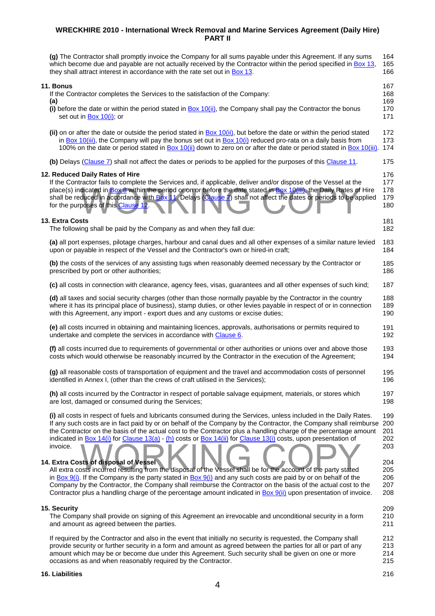| (g) The Contractor shall promptly invoice the Company for all sums payable under this Agreement. If any sums<br>which become due and payable are not actually received by the Contractor within the period specified in Box 13,<br>they shall attract interest in accordance with the rate set out in Box 13.                                                                                                                                                                                                             | 164<br>165<br>166               |
|---------------------------------------------------------------------------------------------------------------------------------------------------------------------------------------------------------------------------------------------------------------------------------------------------------------------------------------------------------------------------------------------------------------------------------------------------------------------------------------------------------------------------|---------------------------------|
| 11. Bonus<br>If the Contractor completes the Services to the satisfaction of the Company:<br>(a)                                                                                                                                                                                                                                                                                                                                                                                                                          | 167<br>168<br>169               |
| (i) before the date or within the period stated in $\frac{Box 10(ii)}{ii}$ , the Company shall pay the Contractor the bonus<br>set out in <b>Box 10(i)</b> ; or                                                                                                                                                                                                                                                                                                                                                           | 170<br>171                      |
| (ii) on or after the date or outside the period stated in Box 10(ii), but before the date or within the period stated<br>in Box 10(iii), the Company will pay the bonus set out in Box 10(i) reduced pro-rata on a daily basis from<br>100% on the date or period stated in Box 10(ii) down to zero on or after the date or period stated in Box 10(iii).                                                                                                                                                                 | 172<br>173<br>174               |
| (b) Delays (Clause 7) shall not affect the dates or periods to be applied for the purposes of this Clause 11.                                                                                                                                                                                                                                                                                                                                                                                                             | 175                             |
| 12. Reduced Daily Rates of Hire<br>If the Contractor fails to complete the Services and, if applicable, deliver and/or dispose of the Vessel at the<br>place(s) indicated in Box 8 within the period or on or before the date stated in Box 10(iii), the Daily Rates of Hire<br>shall be reduced in accordance with Box 11. Delays (Clause 7) shall not affect the dates or periods to be applied<br>for the purposes of this Clause 12.                                                                                  | 176<br>177<br>178<br>179<br>180 |
| 13. Extra Costs<br>The following shall be paid by the Company as and when they fall due:                                                                                                                                                                                                                                                                                                                                                                                                                                  | 181<br>182                      |
| (a) all port expenses, pilotage charges, harbour and canal dues and all other expenses of a similar nature levied<br>upon or payable in respect of the Vessel and the Contractor's own or hired-in craft;                                                                                                                                                                                                                                                                                                                 | 183<br>184                      |
| (b) the costs of the services of any assisting tugs when reasonably deemed necessary by the Contractor or<br>prescribed by port or other authorities;                                                                                                                                                                                                                                                                                                                                                                     | 185<br>186                      |
| (c) all costs in connection with clearance, agency fees, visas, guarantees and all other expenses of such kind;                                                                                                                                                                                                                                                                                                                                                                                                           | 187                             |
| (d) all taxes and social security charges (other than those normally payable by the Contractor in the country<br>where it has its principal place of business), stamp duties, or other levies payable in respect of or in connection<br>with this Agreement, any import - export dues and any customs or excise duties;                                                                                                                                                                                                   | 188<br>189<br>190               |
| (e) all costs incurred in obtaining and maintaining licences, approvals, authorisations or permits required to<br>undertake and complete the services in accordance with Clause 6.                                                                                                                                                                                                                                                                                                                                        | 191<br>192                      |
| (f) all costs incurred due to requirements of governmental or other authorities or unions over and above those<br>costs which would otherwise be reasonably incurred by the Contractor in the execution of the Agreement;                                                                                                                                                                                                                                                                                                 | 193<br>194                      |
| (g) all reasonable costs of transportation of equipment and the travel and accommodation costs of personnel<br>identified in Annex I, (other than the crews of craft utilised in the Services);                                                                                                                                                                                                                                                                                                                           | 195<br>196                      |
| (h) all costs incurred by the Contractor in respect of portable salvage equipment, materials, or stores which<br>are lost, damaged or consumed during the Services;                                                                                                                                                                                                                                                                                                                                                       | 197<br>198                      |
| (i) all costs in respect of fuels and lubricants consumed during the Services, unless included in the Daily Rates.<br>If any such costs are in fact paid by or on behalf of the Company by the Contractor, the Company shall reimburse<br>the Contractor on the basis of the actual cost to the Contractor plus a handling charge of the percentage amount<br>indicated in Box 14(i) for Clause 13(a) - (h) costs or Box 14(ii) for Clause 13(i) costs, upon presentation of<br>invoice.                                  | 199<br>200<br>201<br>202<br>203 |
| 14. Extra Costs of disposal of Vessel<br>All extra costs incurred resulting from the disposal of the Vessel shall be for the account of the party stated<br>in Box $9(i)$ . If the Company is the party stated in Box $9(i)$ and any such costs are paid by or on behalf of the<br>Company by the Contractor, the Company shall reimburse the Contractor on the basis of the actual cost to the<br>Contractor plus a handling charge of the percentage amount indicated in <b>Box 9(ii)</b> upon presentation of invoice. | 204<br>205<br>206<br>207<br>208 |
| 15. Security<br>The Company shall provide on signing of this Agreement an irrevocable and unconditional security in a form<br>and amount as agreed between the parties.                                                                                                                                                                                                                                                                                                                                                   | 209<br>210<br>211               |
| If required by the Contractor and also in the event that initially no security is requested, the Company shall<br>provide security or further security in a form and amount as agreed between the parties for all or part of any<br>amount which may be or become due under this Agreement. Such security shall be given on one or more<br>occasions as and when reasonably required by the Contractor.                                                                                                                   | 212<br>213<br>214<br>215        |
| 16. Liabilities                                                                                                                                                                                                                                                                                                                                                                                                                                                                                                           | 216                             |
|                                                                                                                                                                                                                                                                                                                                                                                                                                                                                                                           |                                 |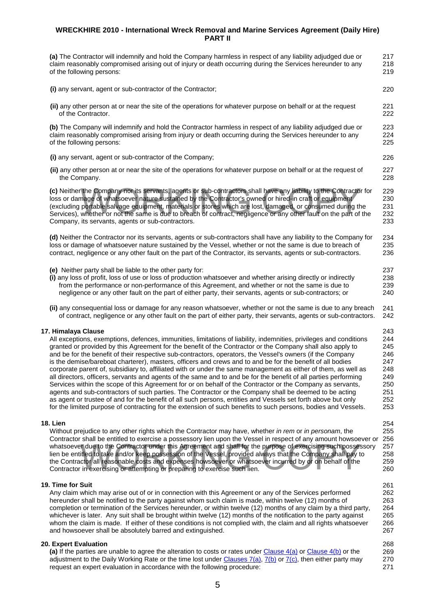| (a) The Contractor will indemnify and hold the Company harmless in respect of any liability adjudged due or<br>claim reasonably compromised arising out of injury or death occurring during the Services hereunder to any<br>of the following persons:                                                                                                                                                                                                                                                                                                                                                                                                                                                                                                                                                                                                                                                                                                                                                                                                                                                                                                                               | 217<br>218<br>219                                                         |
|--------------------------------------------------------------------------------------------------------------------------------------------------------------------------------------------------------------------------------------------------------------------------------------------------------------------------------------------------------------------------------------------------------------------------------------------------------------------------------------------------------------------------------------------------------------------------------------------------------------------------------------------------------------------------------------------------------------------------------------------------------------------------------------------------------------------------------------------------------------------------------------------------------------------------------------------------------------------------------------------------------------------------------------------------------------------------------------------------------------------------------------------------------------------------------------|---------------------------------------------------------------------------|
| (i) any servant, agent or sub-contractor of the Contractor;                                                                                                                                                                                                                                                                                                                                                                                                                                                                                                                                                                                                                                                                                                                                                                                                                                                                                                                                                                                                                                                                                                                          | 220                                                                       |
| (ii) any other person at or near the site of the operations for whatever purpose on behalf or at the request<br>of the Contractor.                                                                                                                                                                                                                                                                                                                                                                                                                                                                                                                                                                                                                                                                                                                                                                                                                                                                                                                                                                                                                                                   | 221<br>222                                                                |
| (b) The Company will indemnify and hold the Contractor harmless in respect of any liability adjudged due or<br>claim reasonably compromised arising from injury or death occurring during the Services hereunder to any<br>of the following persons:                                                                                                                                                                                                                                                                                                                                                                                                                                                                                                                                                                                                                                                                                                                                                                                                                                                                                                                                 | 223<br>224<br>225                                                         |
| (i) any servant, agent or sub-contractor of the Company;                                                                                                                                                                                                                                                                                                                                                                                                                                                                                                                                                                                                                                                                                                                                                                                                                                                                                                                                                                                                                                                                                                                             | 226                                                                       |
| (ii) any other person at or near the site of the operations for whatever purpose on behalf or at the request of<br>the Company.                                                                                                                                                                                                                                                                                                                                                                                                                                                                                                                                                                                                                                                                                                                                                                                                                                                                                                                                                                                                                                                      | 227<br>228                                                                |
| (c) Neither the Company nor its servants, agents or sub-contractors shall have any liability to the Contractor for<br>loss or damage of whatsoever nature sustained by the Contractor's owned or hired-in craft or equipment<br>(excluding portable salvage equipment, materials or stores which are lost, damaged, or consumed during the<br>Services), whether or not the same is due to breach of contract, negligence or any other fault on the part of the<br>Company, its servants, agents or sub-contractors.                                                                                                                                                                                                                                                                                                                                                                                                                                                                                                                                                                                                                                                                 | 229<br>230<br>231<br>232<br>233                                           |
| (d) Neither the Contractor nor its servants, agents or sub-contractors shall have any liability to the Company for<br>loss or damage of whatsoever nature sustained by the Vessel, whether or not the same is due to breach of<br>contract, negligence or any other fault on the part of the Contractor, its servants, agents or sub-contractors.                                                                                                                                                                                                                                                                                                                                                                                                                                                                                                                                                                                                                                                                                                                                                                                                                                    | 234<br>235<br>236                                                         |
| (e) Neither party shall be liable to the other party for:<br>(i) any loss of profit, loss of use or loss of production whatsoever and whether arising directly or indirectly<br>from the performance or non-performance of this Agreement, and whether or not the same is due to<br>negligence or any other fault on the part of either party, their servants, agents or sub-contractors; or                                                                                                                                                                                                                                                                                                                                                                                                                                                                                                                                                                                                                                                                                                                                                                                         | 237<br>238<br>239<br>240                                                  |
| (ii) any consequential loss or damage for any reason whatsoever, whether or not the same is due to any breach<br>of contract, negligence or any other fault on the part of either party, their servants, agents or sub-contractors.                                                                                                                                                                                                                                                                                                                                                                                                                                                                                                                                                                                                                                                                                                                                                                                                                                                                                                                                                  | 241<br>242                                                                |
| 17. Himalaya Clause<br>All exceptions, exemptions, defences, immunities, limitations of liability, indemnities, privileges and conditions<br>granted or provided by this Agreement for the benefit of the Contractor or the Company shall also apply to<br>and be for the benefit of their respective sub-contractors, operators, the Vessel's owners (if the Company<br>is the demise/bareboat charterer), masters, officers and crews and to and be for the benefit of all bodies<br>corporate parent of, subsidiary to, affiliated with or under the same management as either of them, as well as<br>all directors, officers, servants and agents of the same and to and be for the benefit of all parties performing<br>Services within the scope of this Agreement for or on behalf of the Contractor or the Company as servants,<br>agents and sub-contractors of such parties. The Contractor or the Company shall be deemed to be acting<br>as agent or trustee of and for the benefit of all such persons, entities and Vessels set forth above but only<br>for the limited purpose of contracting for the extension of such benefits to such persons, bodies and Vessels. | 243<br>244<br>245<br>246<br>247<br>248<br>249<br>250<br>251<br>252<br>253 |
| 18. Lien<br>Without prejudice to any other rights which the Contractor may have, whether in rem or in personam, the<br>Contractor shall be entitled to exercise a possessory lien upon the Vessel in respect of any amount howsoever or<br>whatsoever due to the Contractor under this Agreement and shall for the purpose of exercising such possessory<br>lien be entitled to take and/or keep possession of the Vessel, provided always that the Company shall pay to<br>the Contractor all reasonable costs and expenses howsoever or whatsoever incurred by or on behalf of the<br>Contractor in exercising or attempting or preparing to exercise such lien.                                                                                                                                                                                                                                                                                                                                                                                                                                                                                                                   | 254<br>255<br>256<br>257<br>258<br>259<br>260                             |
| 19. Time for Suit<br>Any claim which may arise out of or in connection with this Agreement or any of the Services performed<br>hereunder shall be notified to the party against whom such claim is made, within twelve (12) months of<br>completion or termination of the Services hereunder, or within twelve (12) months of any claim by a third party,<br>whichever is later. Any suit shall be brought within twelve (12) months of the notification to the party against<br>whom the claim is made. If either of these conditions is not complied with, the claim and all rights whatsoever<br>and howsoever shall be absolutely barred and extinguished.                                                                                                                                                                                                                                                                                                                                                                                                                                                                                                                       | 261<br>262<br>263<br>264<br>265<br>266<br>267                             |
| 20. Expert Evaluation<br>(a) If the parties are unable to agree the alteration to costs or rates under Clause $4(a)$ or Clause $4(b)$ or the<br>adjustment to the Daily Working Rate or the time lost under Clauses 7(a), 7(b) or 7(c), then either party may<br>request an expert evaluation in accordance with the following procedure:                                                                                                                                                                                                                                                                                                                                                                                                                                                                                                                                                                                                                                                                                                                                                                                                                                            | 268<br>269<br>270<br>271                                                  |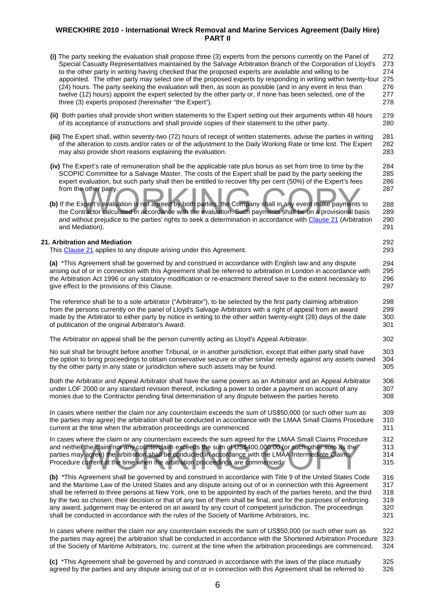| (i) The party seeking the evaluation shall propose three (3) experts from the persons currently on the Panel of<br>Special Casualty Representatives maintained by the Salvage Arbitration Branch of the Corporation of Lloyd's<br>to the other party in writing having checked that the proposed experts are available and willing to be<br>appointed. The other party may select one of the proposed experts by responding in writing within twenty-four<br>(24) hours. The party seeking the evaluation will then, as soon as possible (and in any event in less than<br>twelve (12) hours) appoint the expert selected by the other party or, if none has been selected, one of the<br>three (3) experts proposed (hereinafter "the Expert"). | 272<br>273<br>274<br>275<br>276<br>277<br>278        |
|--------------------------------------------------------------------------------------------------------------------------------------------------------------------------------------------------------------------------------------------------------------------------------------------------------------------------------------------------------------------------------------------------------------------------------------------------------------------------------------------------------------------------------------------------------------------------------------------------------------------------------------------------------------------------------------------------------------------------------------------------|------------------------------------------------------|
| (ii) Both parties shall provide short written statements to the Expert setting out their arguments within 48 hours<br>of its acceptance of instructions and shall provide copies of their statement to the other party.                                                                                                                                                                                                                                                                                                                                                                                                                                                                                                                          | 279<br>280                                           |
| (iii) The Expert shall, within seventy-two (72) hours of receipt of written statements, advise the parties in writing<br>of the alteration to costs and/or rates or of the adjustment to the Daily Working Rate or time lost. The Expert<br>may also provide short reasons explaining the evaluation.                                                                                                                                                                                                                                                                                                                                                                                                                                            | 281<br>282<br>283                                    |
| (iv) The Expert's rate of remuneration shall be the applicable rate plus bonus as set from time to time by the<br>SCOPIC Committee for a Salvage Master. The costs of the Expert shall be paid by the party seeking the<br>expert evaluation, but such party shall then be entitled to recover fifty per cent (50%) of the Expert's fees<br>from the other party.<br>(b) If the Expert's evaluation is not agreed by both parties, the Company shall in any event make payments to<br>the Contractor calculated in accordance with the evaluation. Such payments shall be on a provisional basis<br>and without prejudice to the parties' rights to seek a determination in accordance with Clause 21 (Arbitration<br>and Mediation).            | 284<br>285<br>286<br>287<br>288<br>289<br>290<br>291 |
| 21. Arbitration and Mediation<br>This Clause 21 applies to any dispute arising under this Agreement.                                                                                                                                                                                                                                                                                                                                                                                                                                                                                                                                                                                                                                             | 292<br>293                                           |
| (a) *This Agreement shall be governed by and construed in accordance with English law and any dispute<br>arising out of or in connection with this Agreement shall be referred to arbitration in London in accordance with<br>the Arbitration Act 1996 or any statutory modification or re-enactment thereof save to the extent necessary to<br>give effect to the provisions of this Clause.                                                                                                                                                                                                                                                                                                                                                    | 294<br>295<br>296<br>297                             |
| The reference shall be to a sole arbitrator ("Arbitrator"), to be selected by the first party claiming arbitration<br>from the persons currently on the panel of Lloyd's Salvage Arbitrators with a right of appeal from an award<br>made by the Arbitrator to either party by notice in writing to the other within twenty-eight (28) days of the date<br>of publication of the original Arbitrator's Award.                                                                                                                                                                                                                                                                                                                                    | 298<br>299<br>300<br>301                             |
| The Arbitrator on appeal shall be the person currently acting as Lloyd's Appeal Arbitrator.                                                                                                                                                                                                                                                                                                                                                                                                                                                                                                                                                                                                                                                      | 302                                                  |
| No suit shall be brought before another Tribunal, or in another jurisdiction, except that either party shall have<br>the option to bring proceedings to obtain conservative seizure or other similar remedy against any assets owned<br>by the other party in any state or jurisdiction where such assets may be found.                                                                                                                                                                                                                                                                                                                                                                                                                          | 303<br>304<br>305                                    |
| Both the Arbitrator and Appeal Arbitrator shall have the same powers as an Arbitrator and an Appeal Arbitrator<br>under LOF 2000 or any standard revision thereof, including a power to order a payment on account of any<br>monies due to the Contractor pending final determination of any dispute between the parties hereto.                                                                                                                                                                                                                                                                                                                                                                                                                 | 306<br>307<br>308                                    |
| In cases where neither the claim nor any counterclaim exceeds the sum of US\$50,000 (or such other sum as<br>the parties may agree) the arbitration shall be conducted in accordance with the LMAA Small Claims Procedure<br>current at the time when the arbitration proceedings are commenced.                                                                                                                                                                                                                                                                                                                                                                                                                                                 | 309<br>310<br>311                                    |
| In cases where the claim or any counterclaim exceeds the sum agreed for the LMAA Small Claims Procedure<br>and neither the claim nor any counterclaim exceeds the sum of US\$400,000.00 (or such other sum as the<br>parties may agree) the arbitration shall be conducted in accordance with the LMAA Intermediate Claims<br>Procedure current at the time when the arbitration proceedings are commenced.                                                                                                                                                                                                                                                                                                                                      | 312<br>313<br>314<br>315                             |
| (b) *This Agreement shall be governed by and construed in accordance with Title 9 of the United States Code<br>and the Maritime Law of the United States and any dispute arising out of or in connection with this Agreement<br>shall be referred to three persons at New York, one to be appointed by each of the parties hereto, and the third<br>by the two so chosen; their decision or that of any two of them shall be final, and for the purposes of enforcing<br>any award, judgement may be entered on an award by any court of competent jurisdiction. The proceedings<br>shall be conducted in accordance with the rules of the Society of Maritime Arbitrators, Inc.                                                                 | 316<br>317<br>318<br>319<br>320<br>321               |
| In cases where neither the claim nor any counterclaim exceeds the sum of US\$50,000 (or such other sum as<br>the parties may agree) the arbitration shall be conducted in accordance with the Shortened Arbitration Procedure<br>of the Society of Maritime Arbitrators, Inc. current at the time when the arbitration proceedings are commenced.                                                                                                                                                                                                                                                                                                                                                                                                | 322<br>323<br>324                                    |
| $\overline{h}$ to the computation of the contract the second construction of the second with the lowe of the place mutually                                                                                                                                                                                                                                                                                                                                                                                                                                                                                                                                                                                                                      | 225                                                  |

**(c)** \*This Agreement shall be governed by and construed in accordance with the laws of the place mutually 325 agreed by the parties and any dispute arising out of or in connection with this Agreement shall be referred to 326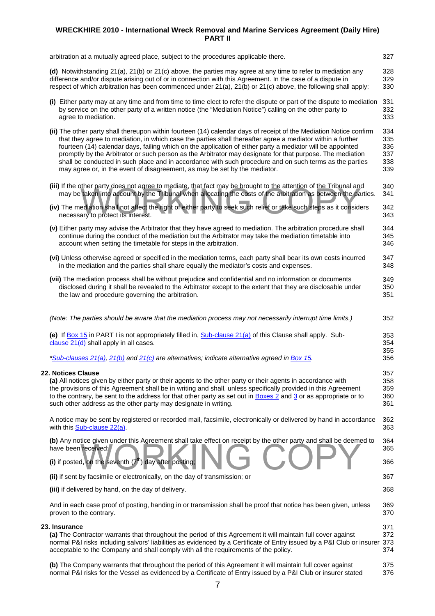| arbitration at a mutually agreed place, subject to the procedures applicable there.                                                                                                                                                                                                                                                                                                                                                                                                                                                                                                                                                                  | 327                                    |
|------------------------------------------------------------------------------------------------------------------------------------------------------------------------------------------------------------------------------------------------------------------------------------------------------------------------------------------------------------------------------------------------------------------------------------------------------------------------------------------------------------------------------------------------------------------------------------------------------------------------------------------------------|----------------------------------------|
| (d) Notwithstanding $21(a)$ , $21(b)$ or $21(c)$ above, the parties may agree at any time to refer to mediation any<br>difference and/or dispute arising out of or in connection with this Agreement. In the case of a dispute in<br>respect of which arbitration has been commenced under 21(a), 21(b) or 21(c) above, the following shall apply:                                                                                                                                                                                                                                                                                                   | 328<br>329<br>330                      |
| (i) Either party may at any time and from time to time elect to refer the dispute or part of the dispute to mediation<br>by service on the other party of a written notice (the "Mediation Notice") calling on the other party to<br>agree to mediation.                                                                                                                                                                                                                                                                                                                                                                                             | 331<br>332<br>333                      |
| (ii) The other party shall thereupon within fourteen (14) calendar days of receipt of the Mediation Notice confirm<br>that they agree to mediation, in which case the parties shall thereafter agree a mediator within a further<br>fourteen (14) calendar days, failing which on the application of either party a mediator will be appointed<br>promptly by the Arbitrator or such person as the Arbitrator may designate for that purpose. The mediation<br>shall be conducted in such place and in accordance with such procedure and on such terms as the parties<br>may agree or, in the event of disagreement, as may be set by the mediator. | 334<br>335<br>336<br>337<br>338<br>339 |
| (iii) If the other party does not agree to mediate, that fact may be brought to the attention of the Tribunal and<br>may be taken into account by the Tribunal when allocating the costs of the arbitration as between the parties.                                                                                                                                                                                                                                                                                                                                                                                                                  | 340<br>341                             |
| (iv) The mediation shall not affect the right of either party to seek such relief or take such steps as it considers<br>necessary to protect its interest.                                                                                                                                                                                                                                                                                                                                                                                                                                                                                           | 342<br>343                             |
| (v) Either party may advise the Arbitrator that they have agreed to mediation. The arbitration procedure shall<br>continue during the conduct of the mediation but the Arbitrator may take the mediation timetable into<br>account when setting the timetable for steps in the arbitration.                                                                                                                                                                                                                                                                                                                                                          | 344<br>345<br>346                      |
| (vi) Unless otherwise agreed or specified in the mediation terms, each party shall bear its own costs incurred<br>in the mediation and the parties shall share equally the mediator's costs and expenses.                                                                                                                                                                                                                                                                                                                                                                                                                                            | 347<br>348                             |
| (vii) The mediation process shall be without prejudice and confidential and no information or documents<br>disclosed during it shall be revealed to the Arbitrator except to the extent that they are disclosable under<br>the law and procedure governing the arbitration.                                                                                                                                                                                                                                                                                                                                                                          | 349<br>350<br>351                      |
| (Note: The parties should be aware that the mediation process may not necessarily interrupt time limits.)                                                                                                                                                                                                                                                                                                                                                                                                                                                                                                                                            | 352                                    |
| (e) If Box 15 in PART I is not appropriately filled in, Sub-clause 21(a) of this Clause shall apply. Sub-<br>$clause$ 21( $d$ ) shall apply in all cases.                                                                                                                                                                                                                                                                                                                                                                                                                                                                                            | 353<br>354<br>355                      |
| *Sub-clauses 21(a), 21(b) and 21(c) are alternatives; indicate alternative agreed in Box 15.                                                                                                                                                                                                                                                                                                                                                                                                                                                                                                                                                         | 356                                    |
| 22. Notices Clause<br>(a) All notices given by either party or their agents to the other party or their agents in accordance with<br>the provisions of this Agreement shall be in writing and shall, unless specifically provided in this Agreement<br>to the contrary, be sent to the address for that other party as set out in Boxes 2 and 3 or as appropriate or to<br>such other address as the other party may designate in writing.                                                                                                                                                                                                           | 357<br>358<br>359<br>360<br>361        |
| A notice may be sent by registered or recorded mail, facsimile, electronically or delivered by hand in accordance<br>with this Sub-clause 22(a).                                                                                                                                                                                                                                                                                                                                                                                                                                                                                                     | 362<br>363                             |
| (b) Any notice given under this Agreement shall take effect on receipt by the other party and shall be deemed to<br>have been received:                                                                                                                                                                                                                                                                                                                                                                                                                                                                                                              | 364<br>365                             |
| (i) if posted, on the seventh $(7th)$ day after posting;                                                                                                                                                                                                                                                                                                                                                                                                                                                                                                                                                                                             | 366                                    |
| (ii) if sent by facsimile or electronically, on the day of transmission; or                                                                                                                                                                                                                                                                                                                                                                                                                                                                                                                                                                          | 367                                    |
| (iii) if delivered by hand, on the day of delivery.                                                                                                                                                                                                                                                                                                                                                                                                                                                                                                                                                                                                  | 368                                    |
| And in each case proof of posting, handing in or transmission shall be proof that notice has been given, unless<br>proven to the contrary.                                                                                                                                                                                                                                                                                                                                                                                                                                                                                                           | 369<br>370                             |
| 23. Insurance<br>(a) The Contractor warrants that throughout the period of this Agreement it will maintain full cover against<br>normal P&I risks including salvors' liabilities as evidenced by a Certificate of Entry issued by a P&I Club or insurer<br>acceptable to the Company and shall comply with all the requirements of the policy.                                                                                                                                                                                                                                                                                                       | 371<br>372<br>373<br>374               |
| (b) The Company warrants that throughout the period of this Agreement it will maintain full cover against                                                                                                                                                                                                                                                                                                                                                                                                                                                                                                                                            | 375                                    |

normal P&I risks for the Vessel as evidenced by a Certificate of Entry issued by a P&I Club or insurer stated 376